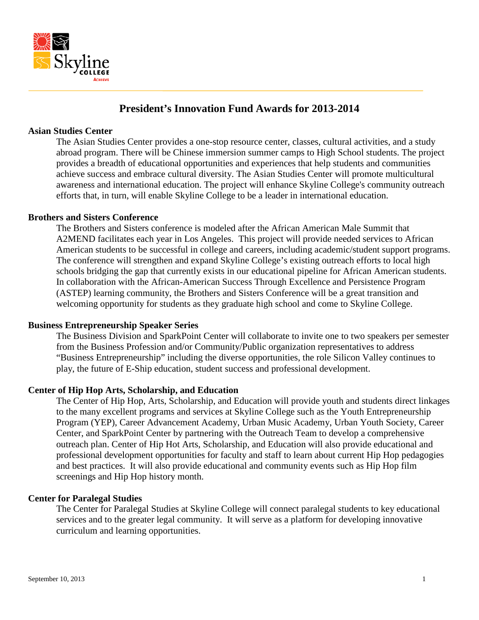

# **President's Innovation Fund Awards for 2013-2014**

#### **Asian Studies Center**

The Asian Studies Center provides a one-stop resource center, classes, cultural activities, and a study abroad program. There will be Chinese immersion summer camps to High School students. The project provides a breadth of educational opportunities and experiences that help students and communities achieve success and embrace cultural diversity. The Asian Studies Center will promote multicultural awareness and international education. The project will enhance Skyline College's community outreach efforts that, in turn, will enable Skyline College to be a leader in international education.

#### **Brothers and Sisters Conference**

The Brothers and Sisters conference is modeled after the African American Male Summit that A2MEND facilitates each year in Los Angeles. This project will provide needed services to African American students to be successful in college and careers, including academic/student support programs. The conference will strengthen and expand Skyline College's existing outreach efforts to local high schools bridging the gap that currently exists in our educational pipeline for African American students. In collaboration with the African-American Success Through Excellence and Persistence Program (ASTEP) learning community, the Brothers and Sisters Conference will be a great transition and welcoming opportunity for students as they graduate high school and come to Skyline College.

#### **Business Entrepreneurship Speaker Series**

The Business Division and SparkPoint Center will collaborate to invite one to two speakers per semester from the Business Profession and/or Community/Public organization representatives to address "Business Entrepreneurship" including the diverse opportunities, the role Silicon Valley continues to play, the future of E-Ship education, student success and professional development.

## **Center of Hip Hop Arts, Scholarship, and Education**

The Center of Hip Hop, Arts, Scholarship, and Education will provide youth and students direct linkages to the many excellent programs and services at Skyline College such as the Youth Entrepreneurship Program (YEP), Career Advancement Academy, Urban Music Academy, Urban Youth Society, Career Center, and SparkPoint Center by partnering with the Outreach Team to develop a comprehensive outreach plan. Center of Hip Hot Arts, Scholarship, and Education will also provide educational and professional development opportunities for faculty and staff to learn about current Hip Hop pedagogies and best practices. It will also provide educational and community events such as Hip Hop film screenings and Hip Hop history month.

#### **Center for Paralegal Studies**

The Center for Paralegal Studies at Skyline College will connect paralegal students to key educational services and to the greater legal community. It will serve as a platform for developing innovative curriculum and learning opportunities.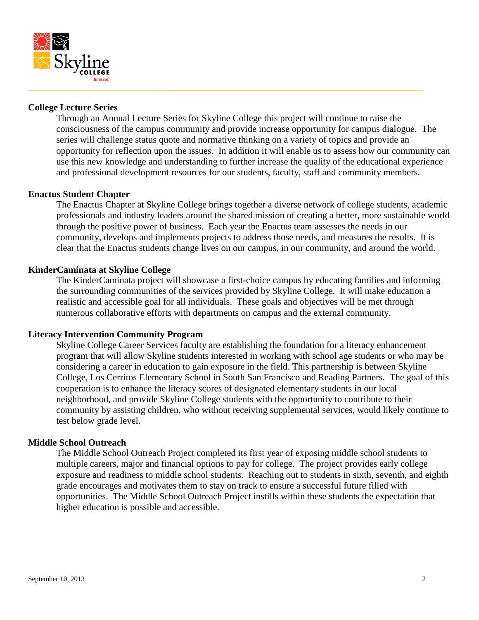

# **College Lecture Series**

Through an Annual Lecture Series for Skyline College this project will continue to raise the consciousness of the campus community and provide increase opportunity for campus dialogue. The series will challenge status quote and normative thinking on a variety of topics and provide an opportunity for reflection upon the issues. In addition it will enable us to assess how our community can use this new knowledge and understanding to further increase the quality of the educational experience and professional development resources for our students, faculty, staff and community members.

## **Enactus Student Chapter**

The Enactus Chapter at Skyline College brings together a diverse network of college students, academic professionals and industry leaders around the shared mission of creating a better, more sustainable world through the positive power of business. Each year the Enactus team assesses the needs in our community, develops and implements projects to address those needs, and measures the results. It is clear that the Enactus students change lives on our campus, in our community, and around the world.

# **KinderCaminata at Skyline College**

The KinderCaminata project will showcase a first-choice campus by educating families and informing the surrounding communities of the services provided by Skyline College. It will make education a realistic and accessible goal for all individuals. These goals and objectives will be met through numerous collaborative efforts with departments on campus and the external community.

## **Literacy Intervention Community Program**

Skyline College Career Services faculty are establishing the foundation for a literacy enhancement program that will allow Skyline students interested in working with school age students or who may be considering a career in education to gain exposure in the field. This partnership is between Skyline College, Los Cerritos Elementary School in South San Francisco and Reading Partners. The goal of this cooperation is to enhance the literacy scores of designated elementary students in our local neighborhood, and provide Skyline College students with the opportunity to contribute to their community by assisting children, who without receiving supplemental services, would likely continue to test below grade level.

#### **Middle School Outreach**

The Middle School Outreach Project completed its first year of exposing middle school students to multiple careers, major and financial options to pay for college. The project provides early college exposure and readiness to middle school students. Reaching out to students in sixth, seventh, and eighth grade encourages and motivates them to stay on track to ensure a successful future filled with opportunities. The Middle School Outreach Project instills within these students the expectation that higher education is possible and accessible.